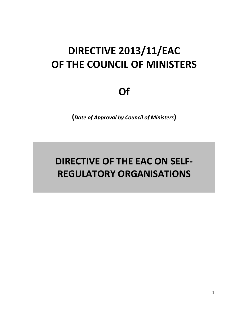# **DIRECTIVE 2013/11/EAC OF THE COUNCIL OF MINISTERS**

**Of**

**(***Date of Approval by Council of Ministers***)**

# **DIRECTIVE OF THE EAC ON SELF-REGULATORY ORGANISATIONS**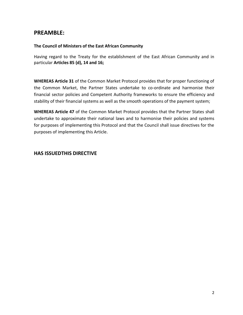## **PREAMBLE:**

#### **The Council of Ministers of the East African Community**

Having regard to the Treaty for the establishment of the East African Community and in particular **Articles 85 (d), 14 and 16;**

**WHEREAS Article 31** of the Common Market Protocol provides that for proper functioning of the Common Market, the Partner States undertake to co-ordinate and harmonise their financial sector policies and Competent Authority frameworks to ensure the efficiency and stability of their financial systems as well as the smooth operations of the payment system;

**WHEREAS Article 47** of the Common Market Protocol provides that the Partner States shall undertake to approximate their national laws and to harmonise their policies and systems for purposes of implementing this Protocol and that the Council shall issue directives for the purposes of implementing this Article.

#### **HAS ISSUEDTHIS DIRECTIVE**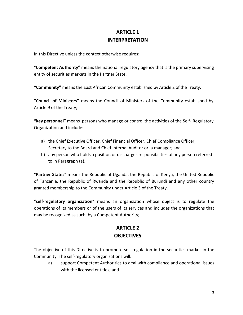## **ARTICLE 1 INTERPRETATION**

In this Directive unless the context otherwise requires:

"**Competent Authority**" means the national regulatory agency that is the primary supervising entity of securities markets in the Partner State.

**"Community"** means the East African Community established by Article 2 of the Treaty.

**"Council of Ministers"** means the Council of Ministers of the Community established by Article 9 of the Treaty;

**"key personnel"** means persons who manage or control the activities of the Self- Regulatory Organization and include:

- a) the Chief Executive Officer, Chief Financial Officer, Chief Compliance Officer, Secretary to the Board and Chief Internal Auditor or a manager; and
- b) any person who holds a position or discharges responsibilities of any person referred to in Paragraph (a).

"**Partner States**" means the Republic of Uganda, the Republic of Kenya, the United Republic of Tanzania, the Republic of Rwanda and the Republic of Burundi and any other country granted membership to the Community under Article 3 of the Treaty.

"**self-regulatory organization**" means an organization whose object is to regulate the operations of its members or of the users of its services and includes the organizations that may be recognized as such, by a Competent Authority;

# **ARTICLE 2 OBJECTIVES**

The objective of this Directive is to promote self-regulation in the securities market in the Community. The self-regulatory organisations will:

a) support Competent Authorities to deal with compliance and operational issues with the licensed entities; and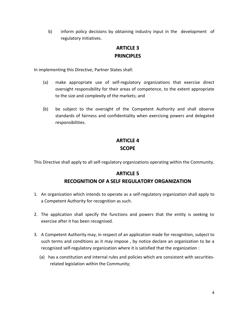b) inform policy decisions by obtaining industry input in the development of regulatory initiatives.

## **ARTICLE 3 PRINCIPLES**

In implementing this Directive, Partner States shall:

- (a) make appropriate use of self-regulatory organizations that exercise direct oversight responsibility for their areas of competence, to the extent appropriate to the size and complexity of the markets; and
- (b) be subject to the oversight of the Competent Authority and shall observe standards of fairness and confidentiality when exercising powers and delegated responsibilities.

# **ARTICLE 4 SCOPE**

This Directive shall apply to all self-regulatory organizations operating within the Community.

#### **ARTICLE 5**

#### **RECOGNITION OF A SELF REGULATORY ORGANIZATION**

- 1. An organization which intends to operate as a self-regulatory organization shall apply to a Competent Authority for recognition as such.
- 2. The application shall specify the functions and powers that the entity is seeking to exercise after it has been recognised.
- 3. A Competent Authority may, in respect of an application made for recognition, subject to such terms and conditions as it may impose , by notice declare an organization to be a recognized self-regulatory organization where it is satisfied that the organization :
	- (a) has a constitution and internal rules and policies which are consistent with securitiesrelated legislation within the Community;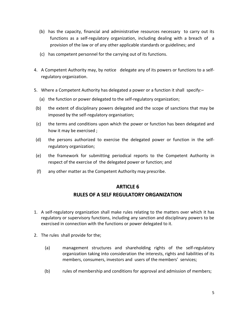- (b) has the capacity, financial and administrative resources necessary to carry out its functions as a self-regulatory organization, including dealing with a breach of a provision of the law or of any other applicable standards or guidelines; and
- (c) has competent personnel for the carrying out of its functions.
- 4. A Competent Authority may, by notice delegate any of its powers or functions to a selfregulatory organization.
- 5. Where a Competent Authority has delegated a power or a function it shall specify:–
	- (a) the function or power delegated to the self-regulatory organization;
- (b) the extent of disciplinary powers delegated and the scope of sanctions that may be imposed by the self-regulatory organisation;
- (c) the terms and conditions upon which the power or function has been delegated and how it may be exercised ;
- (d) the persons authorized to exercise the delegated power or function in the selfregulatory organization;
- (e) the framework for submitting periodical reports to the Competent Authority in respect of the exercise of the delegated power or function; and
- (f) any other matter as the Competent Authority may prescribe.

#### **ARTICLE 6**

#### **RULES OF A SELF REGULATORY ORGANIZATION**

- 1. A self-regulatory organization shall make rules relating to the matters over which it has regulatory or supervisory functions, including any sanction and disciplinary powers to be exercised in connection with the functions or power delegated to it.
- 2. The rules shall provide for the;
	- (a) management structures and shareholding rights of the self-regulatory organization taking into consideration the interests, rights and liabilities of its members, consumers, investors and users of the members' services;
	- (b) rules of membership and conditions for approval and admission of members;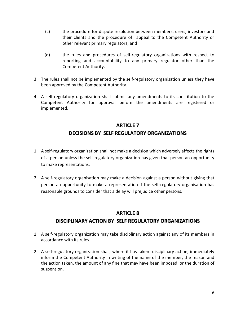- (c) the procedure for dispute resolution between members, users, investors and their clients and the procedure of appeal to the Competent Authority or other relevant primary regulators; and
- (d) the rules and procedures of self-regulatory organizations with respect to reporting and accountability to any primary regulator other than the Competent Authority.
- 3. The rules shall not be implemented by the self-regulatory organisation unless they have been approved by the Competent Authority.
- 4. A self-regulatory organization shall submit any amendments to its constitution to the Competent Authority for approval before the amendments are registered or implemented.

# **ARTICLE 7 DECISIONS BY SELF REGULATORY ORGANIZATIONS**

- 1. A self-regulatory organization shall not make a decision which adversely affects the rights of a person unless the self-regulatory organization has given that person an opportunity to make representations.
- 2. A self-regulatory organisation may make a decision against a person without giving that person an opportunity to make a representation if the self-regulatory organisation has reasonable grounds to consider that a delay will prejudice other persons.

#### **ARTICLE 8**

## **DISCIPLINARY ACTION BY SELF REGULATORY ORGANIZATIONS**

- 1. A self-regulatory organization may take disciplinary action against any of its members in accordance with its rules.
- 2. A self-regulatory organization shall, where it has taken disciplinary action, immediately inform the Competent Authority in writing of the name of the member, the reason and the action taken, the amount of any fine that may have been imposed or the duration of suspension.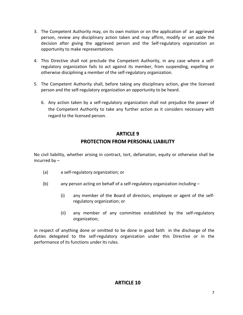- 3. The Competent Authority may, on its own motion or on the application of an aggrieved person, review any disciplinary action taken and may affirm, modify or set aside the decision after giving the aggrieved person and the Self-regulatory organization an opportunity to make representations.
- 4. This Directive shall not preclude the Competent Authority, in any case where a selfregulatory organization fails to act against its member, from suspending, expelling or otherwise disciplining a member of the self-regulatory organization.
- 5. The Competent Authority shall, before taking any disciplinary action, give the licensed person and the self-regulatory organization an opportunity to be heard.
	- 6. Any action taken by a self-regulatory organization shall not prejudice the power of the Competent Authority to take any further action as it considers necessary with regard to the licensed person.

## **ARTICLE 9**

## **PROTECTION FROM PERSONAL LIABILITY**

No civil liability, whether arising in contract, tort, defamation, equity or otherwise shall be incurred by –

- (a) a self-regulatory organization; or
- (b) any person acting on behalf of a self-regulatory organization including
	- (i) any member of the Board of directors, employee or agent of the selfregulatory organization; or
	- (ii) any member of any committee established by the self-regulatory organization;

in respect of anything done or omitted to be done in good faith in the discharge of the duties delegated to the self-regulatory organization under this Directive or in the performance of its functions under its rules.

## **ARTICLE 10**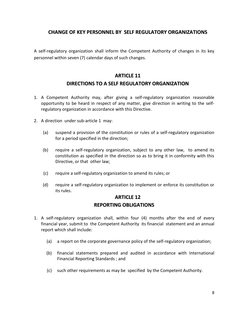#### **CHANGE OF KEY PERSONNEL BY SELF REGULATORY ORGANIZATIONS**

A self-regulatory organization shall inform the Competent Authority of changes in its key personnel within seven (7) calendar days of such changes.

## **ARTICLE 11 DIRECTIONS TO A SELF REGULATORY ORGANIZATION**

- 1. A Competent Authority may, after giving a self-regulatory organization reasonable opportunity to be heard in respect of any matter, give direction in writing to the selfregulatory organization in accordance with this Directive.
- 2. A direction under sub-article 1 may:
	- (a) suspend a provision of the constitution or rules of a self-regulatory organization for a period specified in the direction;
	- (b) require a self-regulatory organization, subject to any other law, to amend its constitution as specified in the direction so as to bring it in conformity with this Directive, or that other law;
	- (c) require a self-regulatory organization to amend its rules; or
	- (d) require a self-regulatory organization to implement or enforce its constitution or its rules.

## **ARTICLE 12 REPORTING OBLIGATIONS**

- 1. A self-regulatory organization shall, within four (4) months after the end of every financial year, submit to the Competent Authority its financial statement and an annual report which shall include:
	- (a) a report on the corporate governance policy of the self-regulatory organization;
	- (b) financial statements prepared and audited in accordance with International Financial Reporting Standards ; and
	- (c) such other requirements as may be specified by the Competent Authority.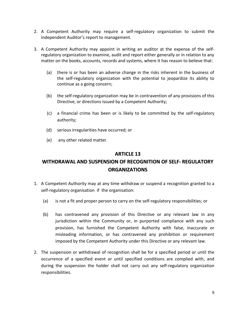- 2. A Competent Authority may require a self-regulatory organization to submit the independent Auditor's report to management.
- 3. A Competent Authority may appoint in writing an auditor at the expense of the selfregulatory organization to examine, audit and report either generally or in relation to any matter on the books, accounts, records and systems, where it has reason to believe that:
	- (a) there is or has been an adverse change in the risks inherent in the business of the self-regulatory organization with the potential to jeopardize its ability to continue as a going concern;
	- (b) the self-regulatory organization may be in contravention of any provisions of this Directive, or directions issued by a Competent Authority;
	- (c) a financial crime has been or is likely to be committed by the self-regulatory authority;
	- (d) serious irregularities have occurred; or
	- (e) any other related matter.

#### **ARTICLE 13**

# **WITHDRAWAL AND SUSPENSION OF RECOGNITION OF SELF- REGULATORY ORGANIZATIONS**

- 1. A Competent Authority may at any time withdraw or suspend a recognition granted to a self-regulatory organisation if the organisation:
	- (a) is not a fit and proper person to carry on the self-regulatory responsibilities; or
	- (b) has contravened any provision of this Directive or any relevant law in any jurisdiction within the Community or, in purported compliance with any such provision, has furnished the Competent Authority with false, inaccurate or misleading information, or has contravened any prohibition or requirement imposed by the Competent Authority under this Directive or any relevant law.
- 2. The suspension or withdrawal of recognition shall be for a specified period or until the occurrence of a specified event or until specified conditions are complied with, and during the suspension the holder shall not carry out any self-regulatory organization responsibilities.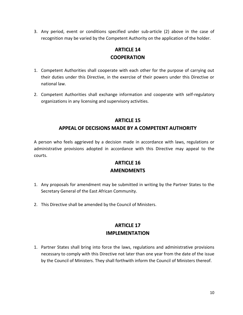3. Any period, event or conditions specified under sub-article (2) above in the case of recognition may be varied by the Competent Authority on the application of the holder.

# **ARTICLE 14 COOPERATION**

- 1. Competent Authorities shall cooperate with each other for the purpose of carrying out their duties under this Directive, in the exercise of their powers under this Directive or national law.
- 2. Competent Authorities shall exchange information and cooperate with self-regulatory organizations in any licensing and supervisory activities.

#### **ARTICLE 15**

## **APPEAL OF DECISIONS MADE BY A COMPETENT AUTHORITY**

A person who feels aggrieved by a decision made in accordance with laws, regulations or administrative provisions adopted in accordance with this Directive may appeal to the courts.

## **ARTICLE 16**

#### **AMENDMENTS**

- 1. Any proposals for amendment may be submitted in writing by the Partner States to the Secretary General of the East African Community.
- 2. This Directive shall be amended by the Council of Ministers.

## **ARTICLE 17 IMPLEMENTATION**

1. Partner States shall bring into force the laws, regulations and administrative provisions necessary to comply with this Directive not later than one year from the date of the issue by the Council of Ministers. They shall forthwith inform the Council of Ministers thereof.